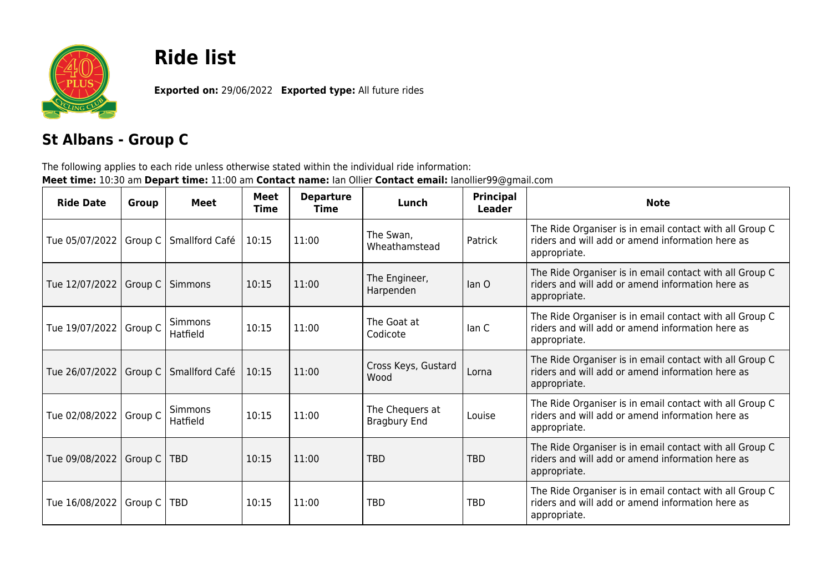

## **Ride list**

**Exported on:** 29/06/2022 **Exported type:** All future rides

## **St Albans - Group C**

The following applies to each ride unless otherwise stated within the individual ride information: **Meet time:** 10:30 am **Depart time:** 11:00 am **Contact name:** Ian Ollier **Contact email:** Ianollier99@gmail.com

| <b>Ride Date</b>               | Group | Meet                       | <b>Meet</b><br><b>Time</b> | <b>Departure</b><br><b>Time</b> | Lunch                                  | <b>Principal</b><br>Leader | <b>Note</b>                                                                                                                 |
|--------------------------------|-------|----------------------------|----------------------------|---------------------------------|----------------------------------------|----------------------------|-----------------------------------------------------------------------------------------------------------------------------|
| Tue 05/07/2022   Group C       |       | Smallford Café             | 10:15                      | 11:00                           | The Swan,<br>Wheathamstead             | Patrick                    | The Ride Organiser is in email contact with all Group C<br>riders and will add or amend information here as<br>appropriate. |
| Tue 12/07/2022   Group C       |       | Simmons                    | 10:15                      | 11:00                           | The Engineer,<br>Harpenden             | lan O                      | The Ride Organiser is in email contact with all Group C<br>riders and will add or amend information here as<br>appropriate. |
| Tue 19/07/2022   Group C       |       | <b>Simmons</b><br>Hatfield | 10:15                      | 11:00                           | The Goat at<br>Codicote                | lan C                      | The Ride Organiser is in email contact with all Group C<br>riders and will add or amend information here as<br>appropriate. |
| Tue 26/07/2022   Group C       |       | Smallford Café             | 10:15                      | 11:00                           | Cross Keys, Gustard<br>Wood            | Lorna                      | The Ride Organiser is in email contact with all Group C<br>riders and will add or amend information here as<br>appropriate. |
| Tue 02/08/2022   Group C       |       | <b>Simmons</b><br>Hatfield | 10:15                      | 11:00                           | The Chequers at<br><b>Bragbury End</b> | Louise                     | The Ride Organiser is in email contact with all Group C<br>riders and will add or amend information here as<br>appropriate. |
| Tue 09/08/2022   Group C       |       | <b>TBD</b>                 | 10:15                      | 11:00                           | TBD                                    | <b>TBD</b>                 | The Ride Organiser is in email contact with all Group C<br>riders and will add or amend information here as<br>appropriate. |
| Tue 16/08/2022   Group C   TBD |       |                            | 10:15                      | 11:00                           | TBD                                    | <b>TBD</b>                 | The Ride Organiser is in email contact with all Group C<br>riders and will add or amend information here as<br>appropriate. |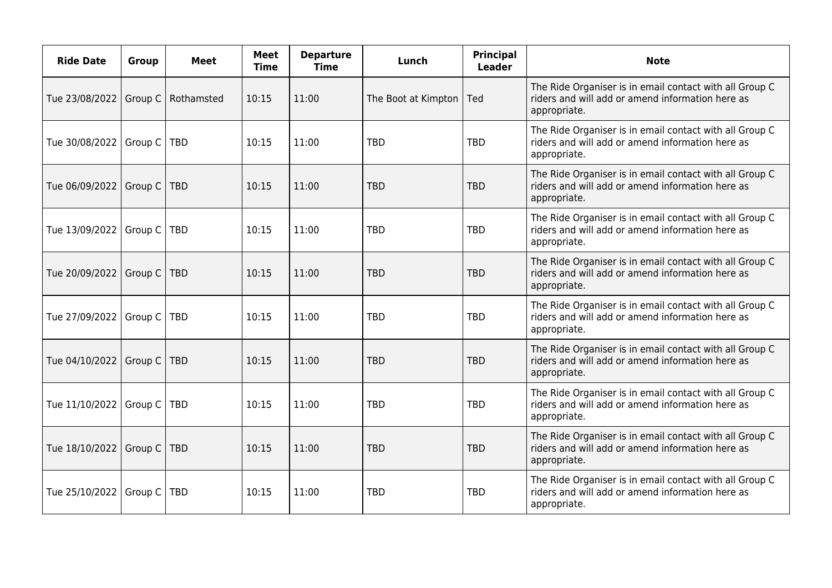| <b>Ride Date</b>               | <b>Group</b> | <b>Meet</b> | <b>Meet</b><br><b>Time</b> | <b>Departure</b><br><b>Time</b> | Lunch               | <b>Principal</b><br><b>Leader</b> | <b>Note</b>                                                                                                                 |
|--------------------------------|--------------|-------------|----------------------------|---------------------------------|---------------------|-----------------------------------|-----------------------------------------------------------------------------------------------------------------------------|
| Tue 23/08/2022   Group C       |              | Rothamsted  | 10:15                      | 11:00                           | The Boot at Kimpton | Ted                               | The Ride Organiser is in email contact with all Group C<br>riders and will add or amend information here as<br>appropriate. |
| Tue 30/08/2022   Group C       |              | <b>TBD</b>  | 10:15                      | 11:00                           | <b>TBD</b>          | <b>TBD</b>                        | The Ride Organiser is in email contact with all Group C<br>riders and will add or amend information here as<br>appropriate. |
| Tue 06/09/2022   Group C       |              | <b>TBD</b>  | 10:15                      | 11:00                           | <b>TBD</b>          | <b>TBD</b>                        | The Ride Organiser is in email contact with all Group C<br>riders and will add or amend information here as<br>appropriate. |
| Tue 13/09/2022   Group C       |              | TBD         | 10:15                      | 11:00                           | <b>TBD</b>          | <b>TBD</b>                        | The Ride Organiser is in email contact with all Group C<br>riders and will add or amend information here as<br>appropriate. |
| Tue 20/09/2022   Group C       |              | <b>TBD</b>  | 10:15                      | 11:00                           | <b>TBD</b>          | <b>TBD</b>                        | The Ride Organiser is in email contact with all Group C<br>riders and will add or amend information here as<br>appropriate. |
| Tue 27/09/2022   Group C   TBD |              |             | 10:15                      | 11:00                           | <b>TBD</b>          | <b>TBD</b>                        | The Ride Organiser is in email contact with all Group C<br>riders and will add or amend information here as<br>appropriate. |
| Tue 04/10/2022   Group C       |              | <b>TBD</b>  | 10:15                      | 11:00                           | <b>TBD</b>          | <b>TBD</b>                        | The Ride Organiser is in email contact with all Group C<br>riders and will add or amend information here as<br>appropriate. |
| Tue 11/10/2022   Group C   TBD |              |             | 10:15                      | 11:00                           | <b>TBD</b>          | <b>TBD</b>                        | The Ride Organiser is in email contact with all Group C<br>riders and will add or amend information here as<br>appropriate. |
| Tue 18/10/2022   Group C       |              | <b>TBD</b>  | 10:15                      | 11:00                           | <b>TBD</b>          | <b>TBD</b>                        | The Ride Organiser is in email contact with all Group C<br>riders and will add or amend information here as<br>appropriate. |
| Tue 25/10/2022   Group C   TBD |              |             | 10:15                      | 11:00                           | <b>TBD</b>          | <b>TBD</b>                        | The Ride Organiser is in email contact with all Group C<br>riders and will add or amend information here as<br>appropriate. |